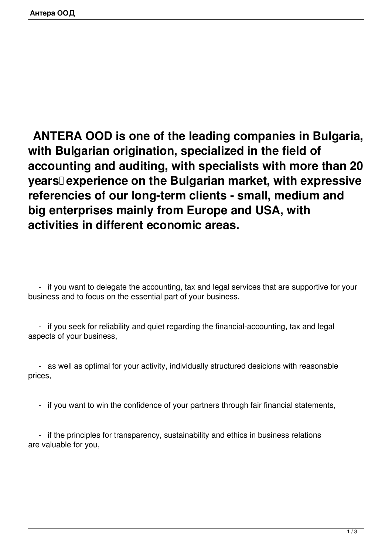**ANTERA OOD is one of the leading companies in Bulgaria, with Bulgarian origination, specialized in the field of accounting and auditing, with specialists with more than 20 years experience on the Bulgarian market, with expressive referencies of our long-term clients - small, medium and big enterprises mainly from Europe and USA, with activities in different economic areas.**

 - if you want to delegate the accounting, tax and legal services that are supportive for your business and to focus on the essential part of your business,

 - if you seek for reliability and quiet regarding the financial-accounting, tax and legal aspects of your business,

 - as well as optimal for your activity, individually structured desicions with reasonable prices,

- if you want to win the confidence of your partners through fair financial statements,

 - if the principles for transparency, sustainability and ethics in business relations are valuable for you,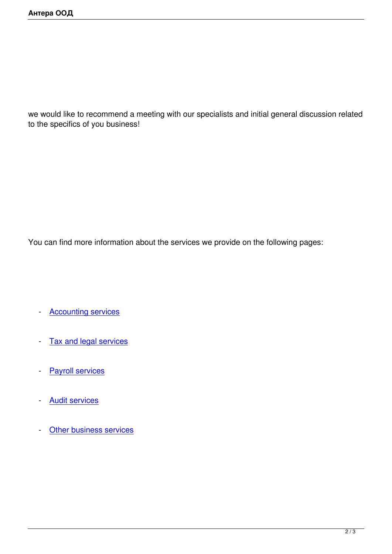we would like to recommend a meeting with our specialists and initial general discussion related to the specifics of you business!

You can find more information about the services we provide on the following pages:

- **Accounting services**
- [Tax and legal service](index.php?option=com_content&view=article&id=52&Itemid=58&lang=en)s
- Payroll services
- [Audit services](index.php?option=com_content&view=article&id=55&Itemid=60&lang=en)
- [Other business](index.php?option=com_content&view=article&id=54&Itemid=61&lang=en) services